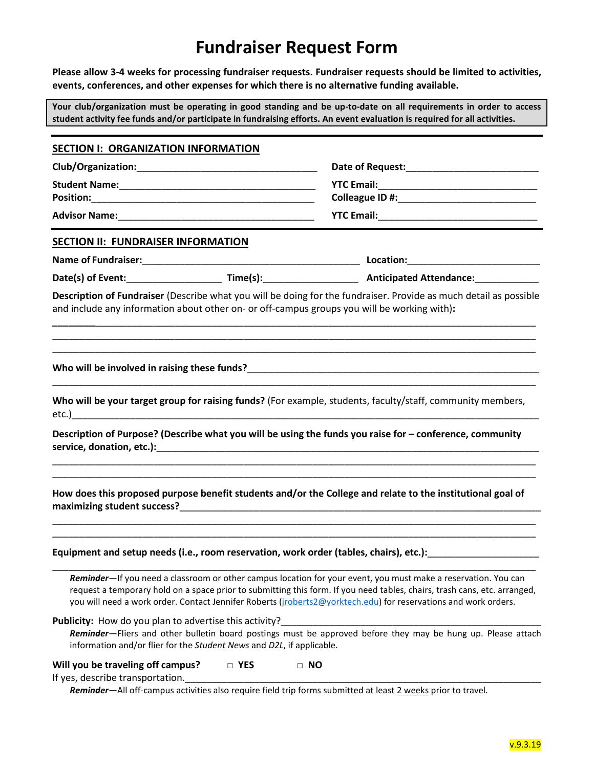## **Fundraiser Request Form**

**Please allow 3-4 weeks for processing fundraiser requests. Fundraiser requests should be limited to activities, events, conferences, and other expenses for which there is no alternative funding available.**

**Your club/organization must be operating in good standing and be up-to-date on all requirements in order to access student activity fee funds and/or participate in fundraising efforts. An event evaluation is required for all activities.**

| SECTION I: ORGANIZATION INFORMATION                                   |                                                                                                                                                                                                                               |                                                                                                                                                                                                                                                                                                                                                                |  |                                           |  |  |
|-----------------------------------------------------------------------|-------------------------------------------------------------------------------------------------------------------------------------------------------------------------------------------------------------------------------|----------------------------------------------------------------------------------------------------------------------------------------------------------------------------------------------------------------------------------------------------------------------------------------------------------------------------------------------------------------|--|-------------------------------------------|--|--|
|                                                                       |                                                                                                                                                                                                                               |                                                                                                                                                                                                                                                                                                                                                                |  |                                           |  |  |
|                                                                       |                                                                                                                                                                                                                               |                                                                                                                                                                                                                                                                                                                                                                |  | <b>SECTION II: FUNDRAISER INFORMATION</b> |  |  |
|                                                                       |                                                                                                                                                                                                                               |                                                                                                                                                                                                                                                                                                                                                                |  |                                           |  |  |
|                                                                       |                                                                                                                                                                                                                               |                                                                                                                                                                                                                                                                                                                                                                |  |                                           |  |  |
|                                                                       |                                                                                                                                                                                                                               | Description of Fundraiser (Describe what you will be doing for the fundraiser. Provide as much detail as possible<br>and include any information about other on- or off-campus groups you will be working with):                                                                                                                                               |  |                                           |  |  |
|                                                                       |                                                                                                                                                                                                                               |                                                                                                                                                                                                                                                                                                                                                                |  |                                           |  |  |
|                                                                       |                                                                                                                                                                                                                               | Who will be your target group for raising funds? (For example, students, faculty/staff, community members,                                                                                                                                                                                                                                                     |  |                                           |  |  |
|                                                                       |                                                                                                                                                                                                                               | Description of Purpose? (Describe what you will be using the funds you raise for - conference, community                                                                                                                                                                                                                                                       |  |                                           |  |  |
|                                                                       |                                                                                                                                                                                                                               | How does this proposed purpose benefit students and/or the College and relate to the institutional goal of                                                                                                                                                                                                                                                     |  |                                           |  |  |
|                                                                       | the control of the control of the control of the control of the control of the control of the control of the control of the control of the control of the control of the control of the control of the control of the control | Equipment and setup needs (i.e., room reservation, work order (tables, chairs), etc.):                                                                                                                                                                                                                                                                         |  |                                           |  |  |
|                                                                       |                                                                                                                                                                                                                               | Reminder-If you need a classroom or other campus location for your event, you must make a reservation. You can<br>request a temporary hold on a space prior to submitting this form. If you need tables, chairs, trash cans, etc. arranged,<br>you will need a work order. Contact Jennifer Roberts (jroberts2@yorktech.edu) for reservations and work orders. |  |                                           |  |  |
| <b>Publicity:</b> How do you plan to advertise this activity?         | information and/or flier for the Student News and D2L, if applicable.                                                                                                                                                         | Reminder-Fliers and other bulletin board postings must be approved before they may be hung up. Please attach                                                                                                                                                                                                                                                   |  |                                           |  |  |
| Will you be traveling off campus?<br>If yes, describe transportation. | □ YES                                                                                                                                                                                                                         | $\Box$ NO<br>Reminder-All off-campus activities also require field trip forms submitted at least 2 weeks prior to travel.                                                                                                                                                                                                                                      |  |                                           |  |  |
|                                                                       |                                                                                                                                                                                                                               |                                                                                                                                                                                                                                                                                                                                                                |  |                                           |  |  |